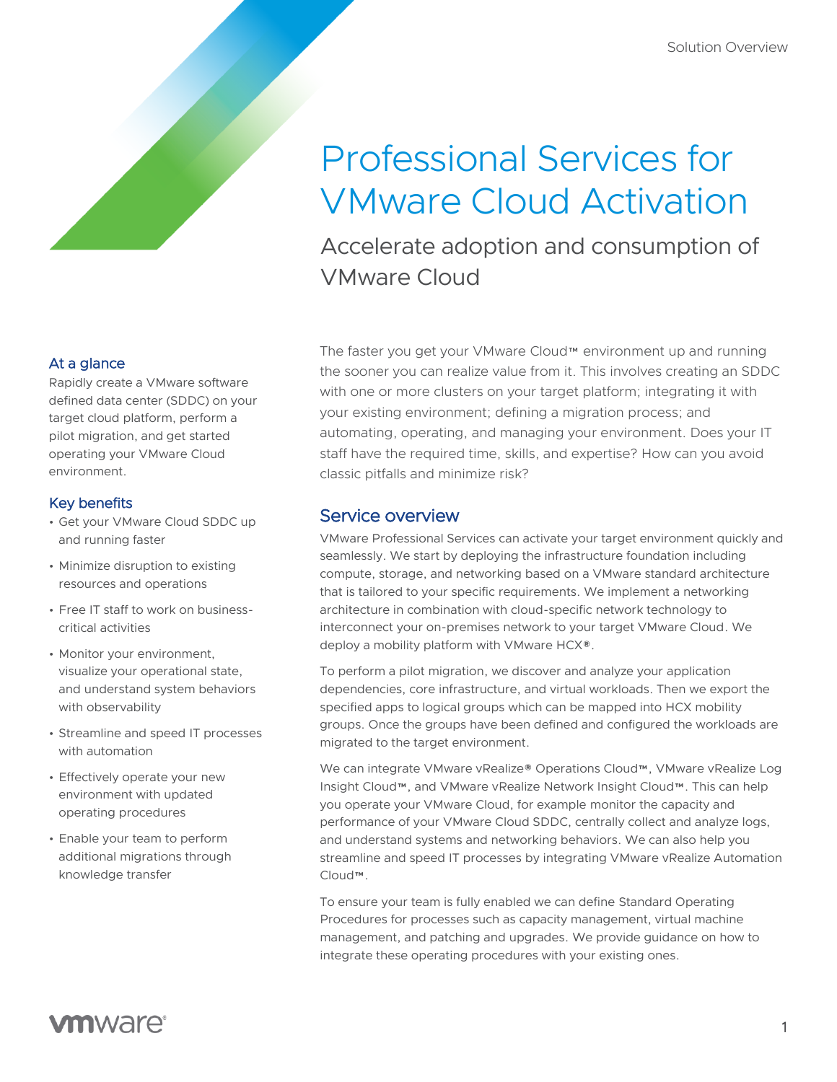# Professional Services for VMware Cloud Activation

Accelerate adoption and consumption of VMware Cloud

At a glance

Rapidly create a VMware software defined data center (SDDC) on your target cloud platform, perform a pilot migration, and get started operating your VMware Cloud environment.

### Key benefits

- Get your VMware Cloud SDDC up and running faster
- Minimize disruption to existing resources and operations
- Free IT staff to work on businesscritical activities
- Monitor your environment, visualize your operational state, and understand system behaviors with observability
- Streamline and speed IT processes with automation
- Effectively operate your new environment with updated operating procedures
- Enable your team to perform additional migrations through knowledge transfer

The faster you get your VMware Cloud™ environment up and running the sooner you can realize value from it. This involves creating an SDDC with one or more clusters on your target platform; integrating it with your existing environment; defining a migration process; and automating, operating, and managing your environment. Does your IT staff have the required time, skills, and expertise? How can you avoid classic pitfalls and minimize risk?

# Service overview

VMware Professional Services can activate your target environment quickly and seamlessly. We start by deploying the infrastructure foundation including compute, storage, and networking based on a VMware standard architecture that is tailored to your specific requirements. We implement a networking architecture in combination with cloud-specific network technology to interconnect your on-premises network to your target VMware Cloud. We deploy a mobility platform with VMware HCX®.

To perform a pilot migration, we discover and analyze your application dependencies, core infrastructure, and virtual workloads. Then we export the specified apps to logical groups which can be mapped into HCX mobility groups. Once the groups have been defined and configured the workloads are migrated to the target environment.

We can integrate VMware vRealize® Operations Cloud™, VMware vRealize Log Insight Cloud™, and VMware vRealize Network Insight Cloud™. This can help you operate your VMware Cloud, for example monitor the capacity and performance of your VMware Cloud SDDC, centrally collect and analyze logs, and understand systems and networking behaviors. We can also help you streamline and speed IT processes by integrating VMware vRealize Automation Cloud™.

To ensure your team is fully enabled we can define Standard Operating Procedures for processes such as capacity management, virtual machine management, and patching and upgrades. We provide guidance on how to integrate these operating procedures with your existing ones.

# **vm**ware<sup>®</sup>